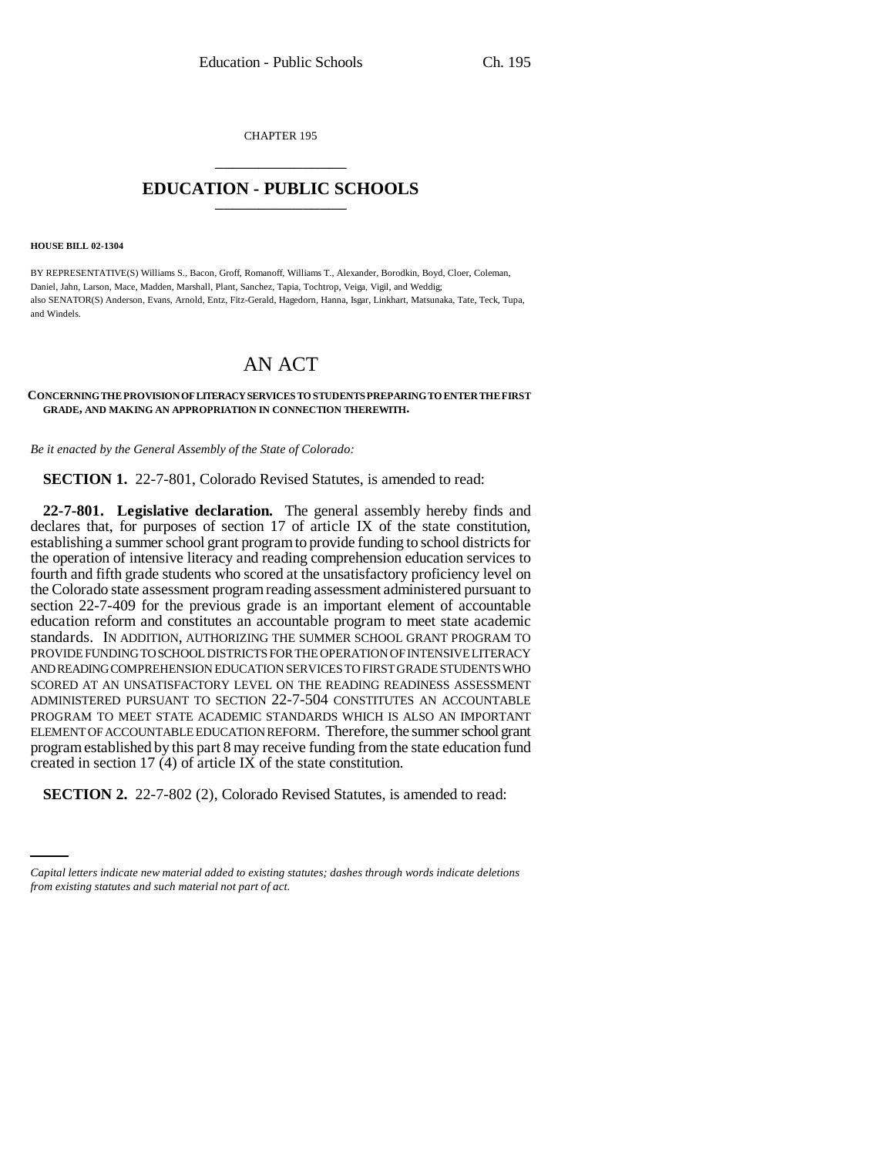CHAPTER 195 \_\_\_\_\_\_\_\_\_\_\_\_\_\_\_

## **EDUCATION - PUBLIC SCHOOLS** \_\_\_\_\_\_\_\_\_\_\_\_\_\_\_

**HOUSE BILL 02-1304**

BY REPRESENTATIVE(S) Williams S., Bacon, Groff, Romanoff, Williams T., Alexander, Borodkin, Boyd, Cloer, Coleman, Daniel, Jahn, Larson, Mace, Madden, Marshall, Plant, Sanchez, Tapia, Tochtrop, Veiga, Vigil, and Weddig; also SENATOR(S) Anderson, Evans, Arnold, Entz, Fitz-Gerald, Hagedorn, Hanna, Isgar, Linkhart, Matsunaka, Tate, Teck, Tupa, and Windels.

## AN ACT

## **CONCERNING THE PROVISION OF LITERACY SERVICES TO STUDENTS PREPARING TO ENTER THE FIRST GRADE, AND MAKING AN APPROPRIATION IN CONNECTION THEREWITH.**

*Be it enacted by the General Assembly of the State of Colorado:*

**SECTION 1.** 22-7-801, Colorado Revised Statutes, is amended to read:

**22-7-801. Legislative declaration.** The general assembly hereby finds and declares that, for purposes of section 17 of article IX of the state constitution, establishing a summer school grant program to provide funding to school districts for the operation of intensive literacy and reading comprehension education services to fourth and fifth grade students who scored at the unsatisfactory proficiency level on the Colorado state assessment program reading assessment administered pursuant to section 22-7-409 for the previous grade is an important element of accountable education reform and constitutes an accountable program to meet state academic standards. IN ADDITION, AUTHORIZING THE SUMMER SCHOOL GRANT PROGRAM TO PROVIDE FUNDING TO SCHOOL DISTRICTS FOR THE OPERATION OF INTENSIVE LITERACY AND READING COMPREHENSION EDUCATION SERVICES TO FIRST GRADE STUDENTS WHO SCORED AT AN UNSATISFACTORY LEVEL ON THE READING READINESS ASSESSMENT ADMINISTERED PURSUANT TO SECTION 22-7-504 CONSTITUTES AN ACCOUNTABLE PROGRAM TO MEET STATE ACADEMIC STANDARDS WHICH IS ALSO AN IMPORTANT ELEMENT OF ACCOUNTABLE EDUCATION REFORM. Therefore, the summer school grant program established by this part 8 may receive funding from the state education fund created in section 17 (4) of article IX of the state constitution.

 $\frac{1}{2}$ **SECTION 2.** 22-7-802 (2), Colorado Revised Statutes, is amended to read:

*Capital letters indicate new material added to existing statutes; dashes through words indicate deletions from existing statutes and such material not part of act.*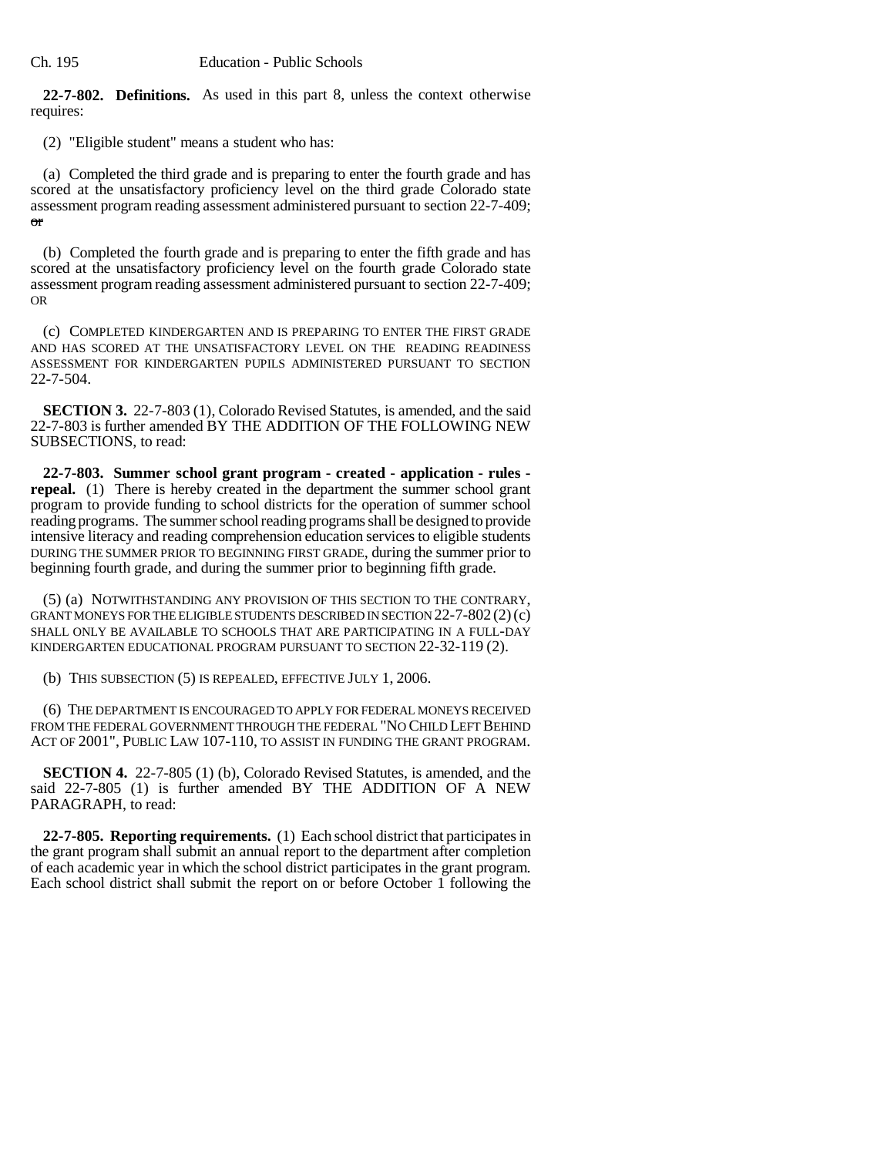Ch. 195 Education - Public Schools

**22-7-802. Definitions.** As used in this part 8, unless the context otherwise requires:

(2) "Eligible student" means a student who has:

(a) Completed the third grade and is preparing to enter the fourth grade and has scored at the unsatisfactory proficiency level on the third grade Colorado state assessment program reading assessment administered pursuant to section 22-7-409; or

(b) Completed the fourth grade and is preparing to enter the fifth grade and has scored at the unsatisfactory proficiency level on the fourth grade Colorado state assessment program reading assessment administered pursuant to section 22-7-409; OR

(c) COMPLETED KINDERGARTEN AND IS PREPARING TO ENTER THE FIRST GRADE AND HAS SCORED AT THE UNSATISFACTORY LEVEL ON THE READING READINESS ASSESSMENT FOR KINDERGARTEN PUPILS ADMINISTERED PURSUANT TO SECTION 22-7-504.

**SECTION 3.** 22-7-803 (1), Colorado Revised Statutes, is amended, and the said 22-7-803 is further amended BY THE ADDITION OF THE FOLLOWING NEW SUBSECTIONS, to read:

**22-7-803. Summer school grant program - created - application - rules repeal.** (1) There is hereby created in the department the summer school grant program to provide funding to school districts for the operation of summer school reading programs. The summer school reading programs shall be designed to provide intensive literacy and reading comprehension education services to eligible students DURING THE SUMMER PRIOR TO BEGINNING FIRST GRADE, during the summer prior to beginning fourth grade, and during the summer prior to beginning fifth grade.

(5) (a) NOTWITHSTANDING ANY PROVISION OF THIS SECTION TO THE CONTRARY, GRANT MONEYS FOR THE ELIGIBLE STUDENTS DESCRIBED IN SECTION  $22-7-802(2)(c)$ SHALL ONLY BE AVAILABLE TO SCHOOLS THAT ARE PARTICIPATING IN A FULL-DAY KINDERGARTEN EDUCATIONAL PROGRAM PURSUANT TO SECTION 22-32-119 (2).

(b) THIS SUBSECTION (5) IS REPEALED, EFFECTIVE JULY 1, 2006.

(6) THE DEPARTMENT IS ENCOURAGED TO APPLY FOR FEDERAL MONEYS RECEIVED FROM THE FEDERAL GOVERNMENT THROUGH THE FEDERAL "NO CHILD LEFT BEHIND ACT OF 2001", PUBLIC LAW 107-110, TO ASSIST IN FUNDING THE GRANT PROGRAM.

**SECTION 4.** 22-7-805 (1) (b), Colorado Revised Statutes, is amended, and the said 22-7-805 (1) is further amended BY THE ADDITION OF A NEW PARAGRAPH, to read:

**22-7-805. Reporting requirements.** (1) Each school district that participates in the grant program shall submit an annual report to the department after completion of each academic year in which the school district participates in the grant program. Each school district shall submit the report on or before October 1 following the